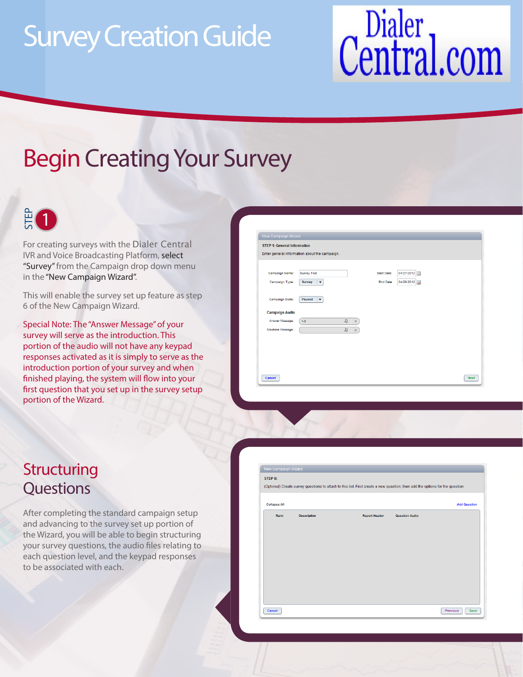# Survey Creation Guide

# Central.com

## Begin Creating Your Survey



IVR and Voice Broadcasting Platform, select "Survey" from the Campaign drop down menu in the "New Campaign Wizard". For creating surveys with the Dialer Central

This will enable the survey set up feature as step 6 of the New Campaign Wizard.

Special Note: The "Answer Message" of your survey will serve as the introduction. This portion of the audio will not have any keypad responses activated as it is simply to serve as the introduction portion of your survey and when finished playing, the system will flow into your first question that you set up in the survey setup portion of the Wizard. **Example 18 Control**<br>
For creating surver<br>
"Survey" from the<br>
"Survey" from the<br>
in the "New Campa<br>
This will enable th<br>
6 of the New Camp<br>
Special Note: The "<br>
survey will serve a<br>
portion of the aud<br>
responses activate<br>

| New Campaign Wizard<br><b>STEP 1: General Information</b> |                                               |                 |            |             |
|-----------------------------------------------------------|-----------------------------------------------|-----------------|------------|-------------|
|                                                           | Enter general information about the campaign. |                 |            |             |
|                                                           |                                               |                 |            |             |
| Campaign Name:                                            | <b>Survey Test</b>                            | Start Date:     | 04/27/2012 |             |
| Campaign Type:                                            | <b>Survey</b><br>$\blacktriangledown$         | <b>End Date</b> | 04/28/2012 |             |
|                                                           |                                               |                 |            |             |
| Campaign State:                                           | Paused<br>$\overline{\mathbf{v}}$             |                 |            |             |
| <b>Campaign Audio</b>                                     |                                               |                 |            |             |
| Answer Message:                                           | $J\!I$<br>$1-2$<br>$\mathbf{x}$               |                 |            |             |
| Machine Message:                                          | $\mathbb{Z}^n$<br>X                           |                 |            |             |
|                                                           |                                               |                 |            |             |
|                                                           |                                               |                 |            |             |
|                                                           |                                               |                 |            |             |
|                                                           |                                               |                 |            |             |
| Cancel                                                    |                                               |                 |            | <b>Next</b> |

# **Structuring**

After completing the standard campaign setup and advancing to the survey set up portion of the Wizard, you will be able to begin structuring your survey questions, the audio files relating to each question level, and the keypad responses to be associated with each.

| <b>Collapse All</b> |                    |                      |                       | <b>Add Question</b> |
|---------------------|--------------------|----------------------|-----------------------|---------------------|
| Rank                | <b>Description</b> | <b>Report Header</b> | <b>Question Audio</b> |                     |
|                     |                    |                      |                       |                     |
|                     |                    |                      |                       |                     |
|                     |                    |                      |                       |                     |
|                     |                    |                      |                       |                     |
|                     |                    |                      |                       |                     |
|                     |                    |                      |                       |                     |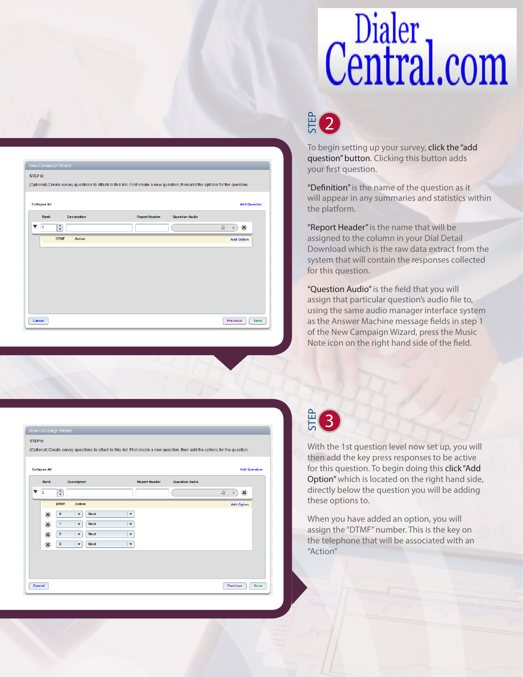# Dialer<br>Central.com

## $\frac{2}{5}$ 2

**Add Question** 

 $J = x$ )

**Add Option** 

Previous Save

To begin setting up your survey, click the "add question" button. Clicking this button adds your first question.

"Definition" is the name of the question as it will appear in any summaries and statistics within the platform.

"Report Header" is the name that will be assigned to the column in your Dial Detail Download which is the raw data extract from the system that will contain the responses collected for this question.

"Question Audio" is the field that you will assign that particular question's audio file to, using the same audio manager interface system as the Answer Machine message fields in step 1 of the New Campaign Wizard, press the Music Note icon on the right hand side of the field.

| New Campaign Wizard                                                                                                            |                     |
|--------------------------------------------------------------------------------------------------------------------------------|---------------------|
| STEP 6:                                                                                                                        |                     |
| (Optional) Create survey questions to attach to this list. First create a new question, then add the options for the question. |                     |
|                                                                                                                                |                     |
| <b>Collapse All</b>                                                                                                            | <b>Add Question</b> |
| Rank<br><b>Description</b><br><b>Report Header</b><br><b>Question Audio</b>                                                    |                     |
| $\div$<br>$\overline{\mathbf{v}}$<br>JJ<br>o<br>$\bar{\mathbf{x}}$                                                             | $\pmb{\times}$      |
| <b>DTMF</b><br><b>Action</b>                                                                                                   | <b>Add Option</b>   |
| $\boldsymbol{\mathsf{x}}$<br>0<br>$\blacktriangledown$<br><b>Next</b><br>$\blacktriangledown$                                  |                     |
| <b>Next</b><br>$\boldsymbol{\varkappa}$<br>1<br>$\overline{\mathbf{v}}$<br>$\blacktriangledown$                                |                     |
| $\mathbf 2$<br><b>Next</b><br>$\boldsymbol{\varkappa}$<br>$\boldsymbol{\mathrm{v}}$<br>$\blacktriangledown$                    |                     |
| 3<br>$\blacktriangledown$<br>$\blacktriangledown$<br>$\pmb{\times}$<br><b>Next</b>                                             |                     |
|                                                                                                                                |                     |
|                                                                                                                                |                     |
|                                                                                                                                |                     |
| <b>Previous</b><br>Cancel                                                                                                      | Save                |
|                                                                                                                                |                     |

(Optional) Create survey questions to attach to this list. First create a new question, then add the options for the question

Question Audio

STEP 6:

**Collapse All** 

 $\overline{\phantom{0}}$   $\overline{\phantom{0}}$ 

Cancel

**Rank** 

 $\Rightarrow$ 

**DTMF** 

**Description** 

Action

#### STEP 3

With the 1st question level now set up, you will then add the key press responses to be active for this question. To begin doing this click "Add Option" which is located on the right hand side, directly below the question you will be adding these options to. **Example 18**<br>To begin<br>To begin<br>"Definiti will app<br>"Report<br>assigned System to system to this a<br>"Questic assign thas the A<br>Step to the Note icc<br>Note icc<br>Step the Note icc<br>directly<br>thee of this a<br>Option"<br>directly<br>these of Whe

When you have added an option, you will assign the "DTMF" number. This is the key on the telephone that will be associated with an "Action"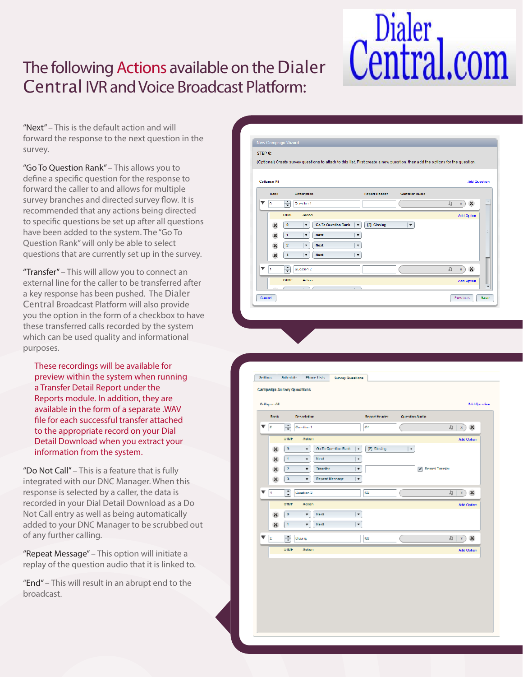### The following Actions available on the Dialer Central IVR and Voice Broadcast Platform:

# Central.com

"Next" – This is the default action and will forward the response to the next question in the survey.

"Go To Question Rank" – This allows you to define a specific question for the response to forward the caller to and allows for multiple survey branches and directed survey flow. It is recommended that any actions being directed to specific questions be set up after all questions have been added to the system. The "Go To Question Rank" will only be able to select questions that are currently set up in the survey.

"Transfer" – This will allow you to connect an external line for the caller to be transferred after you the option in the form of a checkbox to have these transferred calls recorded by the system which can be used quality and informational purposes. a key response has been pushed. The Dialer Central Broadcast Platform will also provide

These recordings will be available for preview within the system when running a Transfer Detail Report under the Reports module. In addition, they are available in the form of a separate .WAV file for each successful transfer attached to the appropriate record on your Dial Detail Download when you extract your information from the system.

"Do Not Call" – This is a feature that is fully integrated with our DNC Manager. When this response is selected by a caller, the data is recorded in your Dial Detail Download as a Do Not Call entry as well as being automatically added to your DNC Manager to be scrubbed out of any further calling.

"Repeat Message" – This option will initiate a replay of the question audio that it is linked to.

"End" – This will result in an abrupt end to the broadcast.

| Collapse All |                                                               |                             |                       | <b>Add Question</b>                      |
|--------------|---------------------------------------------------------------|-----------------------------|-----------------------|------------------------------------------|
| <b>Rank</b>  | <b>Description</b>                                            | <b>Report Header</b>        | <b>Guestion Audio</b> |                                          |
| n.           | €<br>Question 1                                               |                             |                       | $J_{\mathfrak{I}}$<br>×<br>$\,$ $\times$ |
|              | DIME<br><b>Action</b>                                         |                             |                       | Add Option                               |
|              | <b>Go To Question Rank</b><br>$\bf{0}$<br>$\boldsymbol{\tau}$ | [2] Closing<br>$\pmb{\tau}$ | $\pmb{\tau}$          |                                          |
|              | <b>Next</b><br>4<br>۰.                                        | ٠                           |                       |                                          |
|              | $\overline{c}$<br>Next<br>$\mathbf{r}$                        | $\pmb{\mathrm{v}}$          |                       |                                          |
|              | <b>Hext</b><br>з<br>٠                                         | ٠                           |                       |                                          |
| ▼<br>h.      | Question 2                                                    |                             |                       | $J_1$ $\times$<br>$\infty$               |
|              | ÷                                                             |                             |                       |                                          |

|                         | Collapse All |                            |                                       |                      |                | Add Question                       |
|-------------------------|--------------|----------------------------|---------------------------------------|----------------------|----------------|------------------------------------|
|                         | <b>Roma</b>  | Desartation.               |                                       | <b>Report Broder</b> | Question Audio |                                    |
| Ŧ                       | e            | ÷<br>Constituted.          |                                       | ex.                  |                | $\mathbf{u} \times$<br>$\mathbf x$ |
|                         |              | DIME                       | <b>Autum</b>                          |                      |                | <b>Add Option</b>                  |
|                         | $\times$     | $\ddot{\phantom{a}}$       | <b>Galla Question Rank</b><br>$\cdot$ | [2] Chevron<br>٠     | ٠              |                                    |
|                         | $\times$     | ٠                          | <b>Read</b><br>٠                      | ٠                    |                |                                    |
|                         | ×            | $\rightarrow$              | <b>Transfer</b><br>۰                  | $\mathbf{v}$         |                | V Record Transfer                  |
|                         | ×            | $\Lambda$                  | <b>Repeat Message</b>                 | $\pmb{\mathrm{v}}$   |                |                                    |
| $\overline{\mathbf{v}}$ | ٠            | Φ<br>Coestion <sub>2</sub> |                                       | 422                  |                | J Y X                              |
|                         |              | <b>DTMF</b>                | <b>Action</b>                         |                      |                | <b>Add Option</b>                  |
|                         | $\mathbb{R}$ | ٥                          | Heat                                  | ٠                    |                |                                    |
|                         | ×            | H                          | $\pmb{\mathrm{v}}$ . Rest             | $\scriptstyle\star$  |                |                                    |